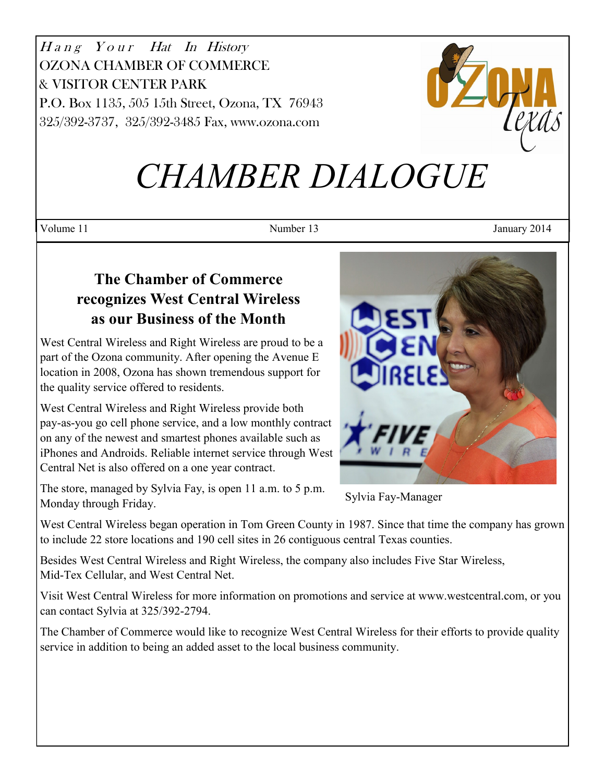Hang Your Hat In History OZONA CHAMBER OF COMMERCE & VISITOR CENTER PARK P.O. Box 1135, 505 15th Street, Ozona, TX 76943 325/392-3737, 325/392-3485 Fax, www.ozona.com



# *CHAMBER DIALOGUE*

Volume 11 January 2014

# **The Chamber of Commerce recognizes West Central Wireless as our Business of the Month**

West Central Wireless and Right Wireless are proud to be a part of the Ozona community. After opening the Avenue E location in 2008, Ozona has shown tremendous support for the quality service offered to residents.

West Central Wireless and Right Wireless provide both pay-as-you go cell phone service, and a low monthly contract on any of the newest and smartest phones available such as iPhones and Androids. Reliable internet service through West Central Net is also offered on a one year contract.

The store, managed by Sylvia Fay, is open 11 a.m. to 5 p.m. Monday through Friday.



Sylvia Fay-Manager

West Central Wireless began operation in Tom Green County in 1987. Since that time the company has grown to include 22 store locations and 190 cell sites in 26 contiguous central Texas counties.

Besides West Central Wireless and Right Wireless, the company also includes Five Star Wireless, Mid-Tex Cellular, and West Central Net.

Visit West Central Wireless for more information on promotions and service at www.westcentral.com, or you can contact Sylvia at 325/392-2794.

The Chamber of Commerce would like to recognize West Central Wireless for their efforts to provide quality service in addition to being an added asset to the local business community.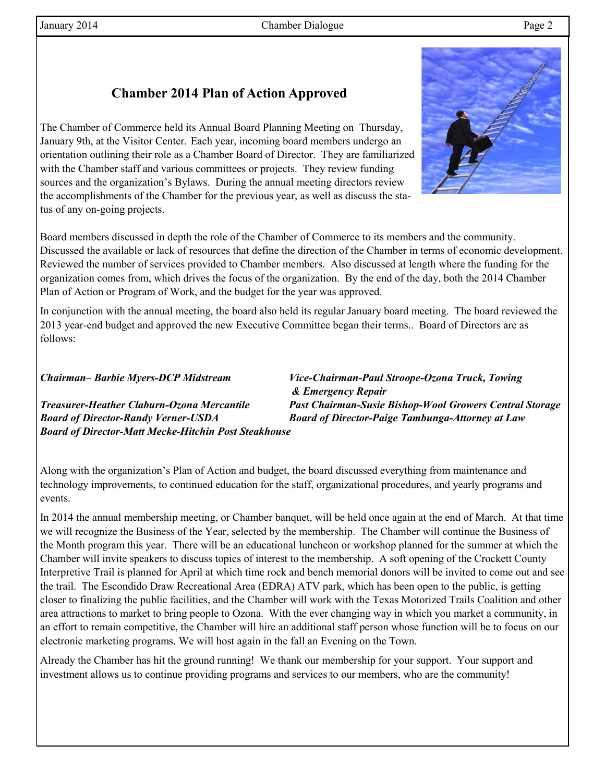## **Chamber 2014 Plan of Action Approved**

The Chamber of Commerce held its Annual Board Planning Meeting on Thursday, January 9th, at the Visitor Center. Each year, incoming board members undergo an orientation outlining their role as a Chamber Board of Director. They are familiarized with the Chamber staff and various committees or projects. They review funding sources and the organization's Bylaws. During the annual meeting directors review the accomplishments of the Chamber for the previous year, as well as discuss the status of any on-going projects.

Board members discussed in depth the role of the Chamber of Commerce to its members and the community. Discussed the available or lack of resources that define the direction of the Chamber in terms of economic development. Reviewed the number of services provided to Chamber members. Also discussed at length where the funding for the organization comes from, which drives the focus of the organization. By the end of the day, both the 2014 Chamber Plan of Action or Program of Work, and the budget for the year was approved.

In conjunction with the annual meeting, the board also held its regular January board meeting. The board reviewed the 2013 year-end budget and approved the new Executive Committee began their terms.. Board of Directors are as follows:

#### *Chairman– Barbie Myers-DCP Midstream Vice-Chairman-Paul Stroope-Ozona Truck, Towing*

*Board of Director-Randy Verner-USDA Board of Director-Paige Tambunga-Attorney at Law Board of Director-Matt Mecke-Hitchin Post Steakhouse*

*& Emergency Repair Treasurer-Heather Claburn-Ozona Mercantile Past Chairman-Susie Bishop-Wool Growers Central Storage*

Along with the organization's Plan of Action and budget, the board discussed everything from maintenance and technology improvements, to continued education for the staff, organizational procedures, and yearly programs and events.

In 2014 the annual membership meeting, or Chamber banquet, will be held once again at the end of March. At that time we will recognize the Business of the Year, selected by the membership. The Chamber will continue the Business of the Month program this year. There will be an educational luncheon or workshop planned for the summer at which the Chamber will invite speakers to discuss topics of interest to the membership. A soft opening of the Crockett County Interpretive Trail is planned for April at which time rock and bench memorial donors will be invited to come out and see the trail. The Escondido Draw Recreational Area (EDRA) ATV park, which has been open to the public, is getting closer to finalizing the public facilities, and the Chamber will work with the Texas Motorized Trails Coalition and other area attractions to market to bring people to Ozona. With the ever changing way in which you market a community, in an effort to remain competitive, the Chamber will hire an additional staff person whose function will be to focus on our electronic marketing programs. We will host again in the fall an Evening on the Town.

Already the Chamber has hit the ground running! We thank our membership for your support. Your support and investment allows us to continue providing programs and services to our members, who are the community!

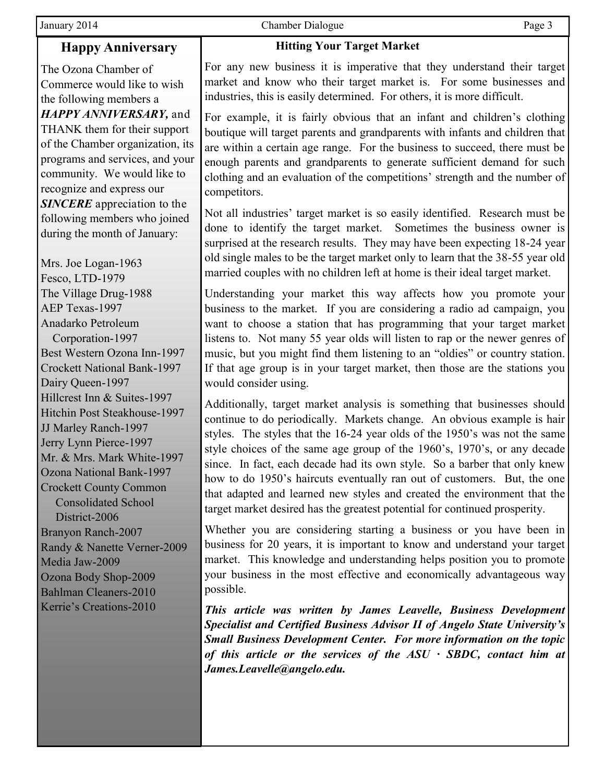## **Happy Anniversary**

The Ozona Chamber of Commerce would like to wish the following members a *HAPPY ANNIVERSARY,* and THANK them for their support of the Chamber organization, its programs and services, and your community. We would like to recognize and express our *SINCERE* appreciation to the following members who joined during the month of January:

Mrs. Joe Logan-1963 Fesco, LTD-1979 The Village Drug-1988 AEP Texas-1997 Anadarko Petroleum Corporation-1997 Best Western Ozona Inn-1997 Crockett National Bank-1997 Dairy Queen-1997 Hillcrest Inn & Suites-1997 Hitchin Post Steakhouse-1997 JJ Marley Ranch-1997 Jerry Lynn Pierce-1997 Mr. & Mrs. Mark White-1997 Ozona National Bank-1997 Crockett County Common Consolidated School District-2006 Branyon Ranch-2007 Randy & Nanette Verner-2009 Media Jaw-2009 Ozona Body Shop-2009 Bahlman Cleaners-2010 Kerrie's Creations-2010

January 2014 Chamber Dialogue Page 3

#### **Hitting Your Target Market**

For any new business it is imperative that they understand their target market and know who their target market is. For some businesses and industries, this is easily determined. For others, it is more difficult.

For example, it is fairly obvious that an infant and children's clothing boutique will target parents and grandparents with infants and children that are within a certain age range. For the business to succeed, there must be enough parents and grandparents to generate sufficient demand for such clothing and an evaluation of the competitions' strength and the number of competitors.

Not all industries' target market is so easily identified. Research must be done to identify the target market. Sometimes the business owner is surprised at the research results. They may have been expecting 18-24 year old single males to be the target market only to learn that the 38-55 year old married couples with no children left at home is their ideal target market.

Understanding your market this way affects how you promote your business to the market. If you are considering a radio ad campaign, you want to choose a station that has programming that your target market listens to. Not many 55 year olds will listen to rap or the newer genres of music, but you might find them listening to an "oldies" or country station. If that age group is in your target market, then those are the stations you would consider using.

Additionally, target market analysis is something that businesses should continue to do periodically. Markets change. An obvious example is hair styles. The styles that the 16-24 year olds of the 1950's was not the same style choices of the same age group of the 1960's, 1970's, or any decade since. In fact, each decade had its own style. So a barber that only knew how to do 1950's haircuts eventually ran out of customers. But, the one that adapted and learned new styles and created the environment that the target market desired has the greatest potential for continued prosperity.

Whether you are considering starting a business or you have been in business for 20 years, it is important to know and understand your target market. This knowledge and understanding helps position you to promote your business in the most effective and economically advantageous way possible.

*This article was written by James Leavelle, Business Development Specialist and Certified Business Advisor II of Angelo State University's Small Business Development Center. For more information on the topic of this article or the services of the ASU · SBDC, contact him at James.Leavelle@angelo.edu.*